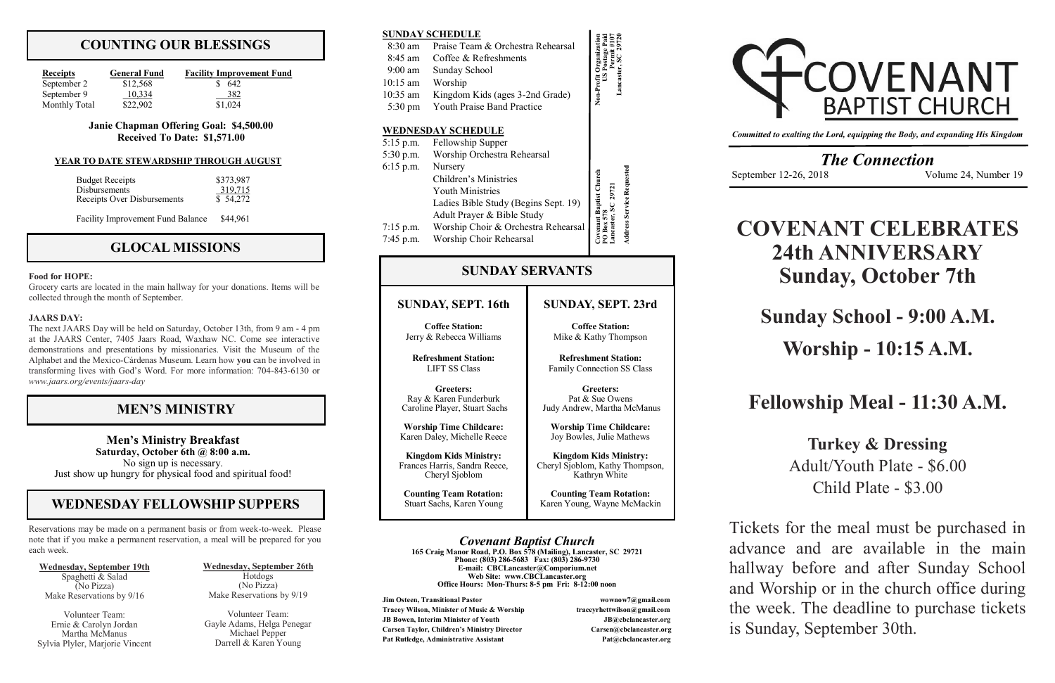# **COUNTING OUR BLESSINGS**

| <b>Receipts</b> | <b>General Fund</b> | <b>Facility Improvement Fund</b> |
|-----------------|---------------------|----------------------------------|
| September 2     | \$12,568            | -642                             |
| September 9     | 10.334              | 382                              |
| Monthly Total   | \$22,902            | \$1,024                          |

#### **Janie Chapman Offering Goal: \$4,500.00 Received To Date: \$1,571.00**

## **GLOCAL MISSIONS**

#### **Food for HOPE:**

Grocery carts are located in the main hallway for your donations. Items will be collected through the month of September.

#### **JAARS DAY:**

**Jim Osteen, Transitional Pastor wownow7@gmail.com Tracey Wilson, Minister of Music & Worship traceyrhettwilson@gmail.com JB Bowen, Interim Minister of Youth JB@cbclancaster.org Carsen Taylor, Children's Ministry Director Carsen@cbclancaster.org** Pat Rutledge, Administrative Assistant **Pat Acceleration** Pat *Rutledge, Administrative Assistant* 



The next JAARS Day will be held on Saturday, October 13th, from 9 am - 4 pm at the JAARS Center, 7405 Jaars Road, Waxhaw NC. Come see interactive demonstrations and presentations by missionaries. Visit the Museum of the Alphabet and the Mexico-Cárdenas Museum. Learn how **you** can be involved in transforming lives with God's Word. For more information: 704-843-6130 or *www.jaars.org/events/jaars-day*

### *Covenant Baptist Church*

**165 Craig Manor Road, P.O. Box 578 (Mailing), Lancaster, SC 29721 Phone: (803) 286-5683 Fax: (803) 286-9730 E-mail: CBCLancaster@Comporium.net Web Site: www.CBCLancaster.org Office Hours: Mon-Thurs: 8-5 pm Fri: 8-12:00 noon**

*The Connection* September 12-26, 2018 Volume 24, Number 19

### **SUNDAY, SEPT. 16th**

**Coffee Station:** Jerry & Rebecca Williams

**Refreshment Station:** LIFT SS Class

**Greeters:** Ray & Karen Funderburk Caroline Player, Stuart Sachs

**Worship Time Childcare:** Karen Daley, Michelle Reece

**Kingdom Kids Ministry:** Frances Harris, Sandra Reece, Cheryl Sjoblom

**Counting Team Rotation:** Stuart Sachs, Karen Young

**SUNDAY SERVANTS**

**SUNDAY SCHEDULE**

| SUNDAY SUNEDULE   |                                       |                                              |
|-------------------|---------------------------------------|----------------------------------------------|
| $8:30 \text{ am}$ | Praise Team & Orchestra Rehearsal     |                                              |
| 8:45 am           | Coffee & Refreshments                 |                                              |
| 9:00 am           | Sunday School                         |                                              |
| $10:15$ am        | Worship                               | Lancaster<br>Non-Profit                      |
| 10:35 am          | Kingdom Kids (ages 3-2nd Grade)       |                                              |
| 5:30 pm           | <b>Youth Praise Band Practice</b>     |                                              |
|                   | <b>WEDNESDAY SCHEDULE</b>             |                                              |
| $5:15$ p.m.       | Fellowship Supper                     |                                              |
|                   | 5:30 p.m. Worship Orchestra Rehearsal |                                              |
| $6:15$ p.m.       | Nursery                               |                                              |
|                   | Children's Ministries                 |                                              |
|                   | <b>Youth Ministries</b>               | 29721                                        |
|                   | Ladies Bible Study (Begins Sept. 19)  | <b>Baptist Church</b>                        |
|                   | Adult Prayer & Bible Study            |                                              |
| $7:15$ p.m.       | Worship Choir & Orchestra Rehearsal   | <b>Address Service Requested</b><br>ancastei |
| $7:45$ p.m.       | Worship Choir Rehearsal               |                                              |

*Committed to exalting the Lord, equipping the Body, and expanding His Kingdom*

# **MEN'S MINISTRY**

#### **YEAR TO DATE STEWARDSHIP THROUGH AUGUST**

| <b>Budget Receipts</b>      | \$373,987 |
|-----------------------------|-----------|
| Disbursements               | 319,715   |
| Receipts Over Disbursements | \$54,272  |

Facility Improvement Fund Balance \$44,961

**SUNDAY, SEPT. 23rd**

**Coffee Station:** Mike & Kathy Thompson

**Refreshment Station:** Family Connection SS Class

**Greeters:** Pat & Sue Owens Judy Andrew, Martha McManus

**Worship Time Childcare:** Joy Bowles, Julie Mathews

**Kingdom Kids Ministry:** Cheryl Sjoblom, Kathy Thompson, Kathryn White

**Counting Team Rotation:** Karen Young, Wayne McMackin

Reservations may be made on a permanent basis or from week-to-week. Please note that if you make a permanent reservation, a meal will be prepared for you each week.

# **WEDNESDAY FELLOWSHIP SUPPERS**

**Men's Ministry Breakfast Saturday, October 6th @ 8:00 a.m.** No sign up is necessary. Just show up hungry for physical food and spiritual food!

**Wednesday, September 19th** Spaghetti & Salad (No Pizza) Make Reservations by 9/16

Volunteer Team: Ernie & Carolyn Jordan Martha McManus Sylvia Plyler, Marjorie Vincent **Wednesday, September 26th** Hotdogs (No Pizza)

Make Reservations by 9/19 Volunteer Team:

Gayle Adams, Helga Penegar Michael Pepper Darrell & Karen Young

# **COVENANT CELEBRATES 24th ANNIVERSARY Sunday, October 7th**

# **Sunday School - 9:00 A.M.**

# **Worship - 10:15 A.M.**

# **Fellowship Meal - 11:30 A.M.**

**Turkey & Dressing** Adult/Youth Plate - \$6.00 Child Plate - \$3.00

Tickets for the meal must be purchased in advance and are available in the main hallway before and after Sunday School and Worship or in the church office during the week. The deadline to purchase tickets is Sunday, September 30th.